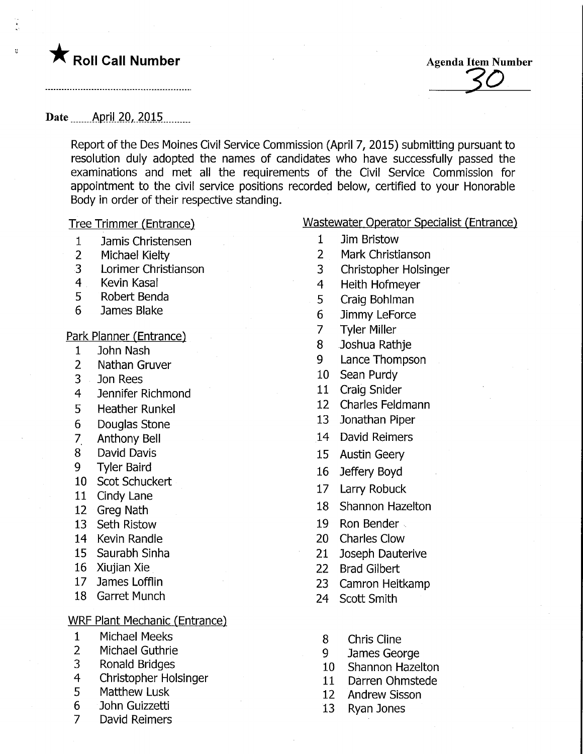

 $\overline{\Omega}$ 

Roll Call Number<br>
Agenda Item Number<br>
Agenda Item Number<br>
Agenda Item Number

Date ........April. 20,. 2015.

Report of the Des Moines Civil Service Commission (April 7, 2015) submitting pursuant to resolution duly adopted the names of candidates who have successfully passed the examinations and met all the requirements of the Civil Service Commission for appointment to the civil service positions recorded below, certified to your Honorable Body in order of their respective standing.

- 1 Jamis Christensen
- 2 Michael Kielty
- 3 Lorimer Christianson
- 4 Kevin Kasal
- 5 Robert Benda
- 6 James Blake

<u>Park Planner (Entrance)</u>

- 1 John Nash
- 2 Nathan Gruver
- 3 Jon Rees
- 4 Jennifer Richmond
- 5 Heather Runkel
- 6 Douglas Stone
- 7 Anthony Bell
- 8 David Davis
- 9 Tyler Baird
- 10 Scot Schuckert
- 11 Cindy Lane
- 12 Greg Nath
- 13 Seth Ristow
- 14 Kevin Randle
- 15 Saurabh Sinha
- 16 Xiujian Xie
- 17 James Lofflin
- 18 Garret Munch

## <u>WRF Plant Mechanic (Entrance)</u>

- 1 Michael Meeks
- 2 Michael Guthrie
- 3 Ronald Bridges
- 4 Christopher Holsinger
- 5 Matthew Lusk
- 6 John Guizzetti
- 7 David Reimers

Tree Trimmer (Entrance) Wastewater Operator Specialist (Entrance)

- 1 Jim Bristow
- 2 Mark Christianson
- 3 Christopher Holsinger
- 4 Heith Hofmeyer
- 5 Craig Bohlman
- 6 Jimmy LeForce
- 7 Tyler Miller
- 8 Joshua Rathje
- 9 Lance Thompson
- 10 Sean Purdy
- 11 Craig Snider
- 12 Charles Feldmann
- 13 Jonathan Piper
- 14 David Reimers
- 15 Austin Geery
- 16 Jeffery Boyd
- 17 Larry Robuck
- 18 Shannon Hazelton
- 19 Ron Bender
- 20 Charles Glow
- 21 Joseph Dauterive
- 22 Brad Gilbert
- 23 Camron Heitkamp
- 24 Scott Smith
- 8 Chris Cline
- 9 James George
- 10 Shannon Hazelton
- 11 Darren Ohmstede
- 12 Andrew Sisson
- 13 Ryan Jones